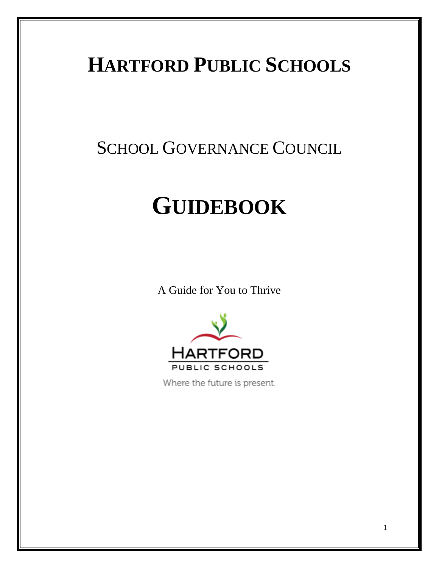# **HARTFORD PUBLIC SCHOOLS**

# SCHOOL GOVERNANCE COUNCIL

# **GUIDEBOOK**

A Guide for You to Thrive



Where the future is present.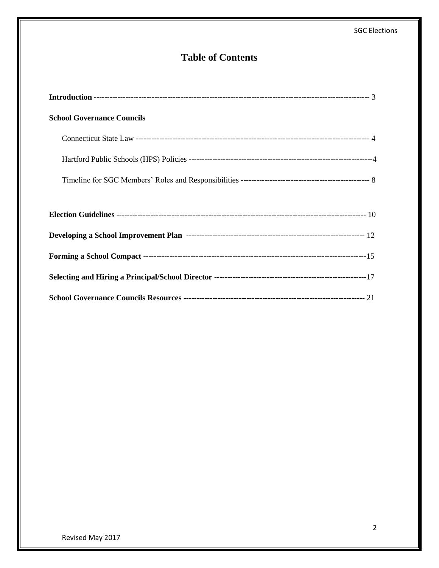# **Table of Contents**

| <b>School Governance Councils</b> |
|-----------------------------------|
|                                   |
|                                   |
|                                   |
|                                   |
|                                   |
|                                   |
|                                   |
|                                   |
|                                   |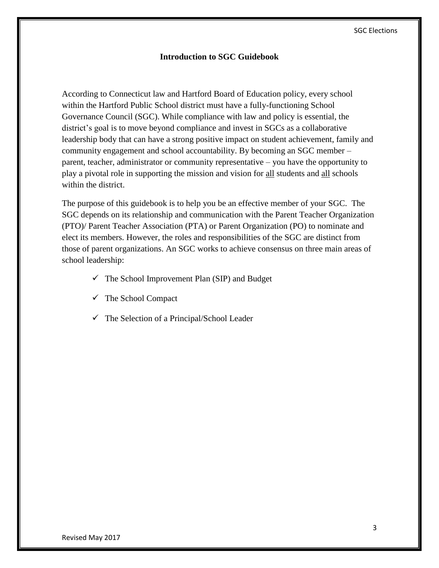#### **Introduction to SGC Guidebook**

According to Connecticut law and Hartford Board of Education policy, every school within the Hartford Public School district must have a fully-functioning School Governance Council (SGC). While compliance with law and policy is essential, the district's goal is to move beyond compliance and invest in SGCs as a collaborative leadership body that can have a strong positive impact on student achievement, family and community engagement and school accountability. By becoming an SGC member – parent, teacher, administrator or community representative – you have the opportunity to play a pivotal role in supporting the mission and vision for all students and all schools within the district.

The purpose of this guidebook is to help you be an effective member of your SGC. The SGC depends on its relationship and communication with the Parent Teacher Organization (PTO)/ Parent Teacher Association (PTA) or Parent Organization (PO) to nominate and elect its members. However, the roles and responsibilities of the SGC are distinct from those of parent organizations. An SGC works to achieve consensus on three main areas of school leadership:

- $\checkmark$  The School Improvement Plan (SIP) and Budget
- $\checkmark$  The School Compact
- $\checkmark$  The Selection of a Principal/School Leader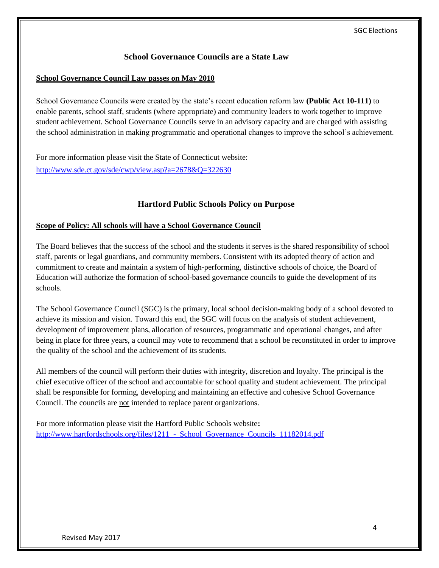# **School Governance Councils are a State Law**

#### **School Governance Council Law passes on May 2010**

School Governance Councils were created by the state's recent education reform law **(Public Act 10-111)** to enable parents, school staff, students (where appropriate) and community leaders to work together to improve student achievement. School Governance Councils serve in an advisory capacity and are charged with assisting the school administration in making programmatic and operational changes to improve the school's achievement.

For more information please visit the State of Connecticut website: <http://www.sde.ct.gov/sde/cwp/view.asp?a=2678&Q=322630>

# **Hartford Public Schools Policy on Purpose**

#### **Scope of Policy: All schools will have a School Governance Council**

The Board believes that the success of the school and the students it serves is the shared responsibility of school staff, parents or legal guardians, and community members. Consistent with its adopted theory of action and commitment to create and maintain a system of high-performing, distinctive schools of choice, the Board of Education will authorize the formation of school-based governance councils to guide the development of its schools.

The School Governance Council (SGC) is the primary, local school decision-making body of a school devoted to achieve its mission and vision. Toward this end, the SGC will focus on the analysis of student achievement, development of improvement plans, allocation of resources, programmatic and operational changes, and after being in place for three years, a council may vote to recommend that a school be reconstituted in order to improve the quality of the school and the achievement of its students.

All members of the council will perform their duties with integrity, discretion and loyalty. The principal is the chief executive officer of the school and accountable for school quality and student achievement. The principal shall be responsible for forming, developing and maintaining an effective and cohesive School Governance Council. The councils are not intended to replace parent organizations.

For more information please visit the Hartford Public Schools website**:** http://www.hartfordschools.org/files/1211 - School Governance Councils 11182014.pdf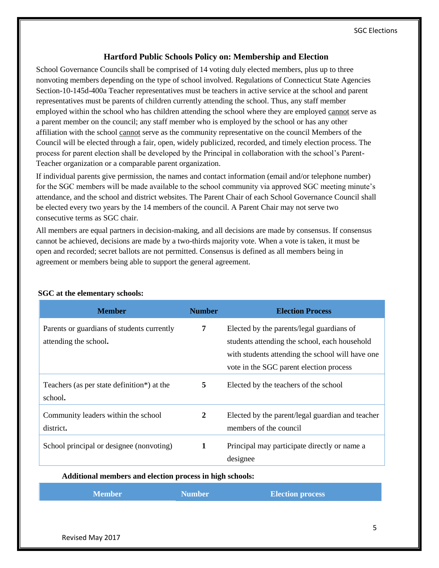# **Hartford Public Schools Policy on: Membership and Election**

School Governance Councils shall be comprised of 14 voting duly elected members, plus up to three nonvoting members depending on the type of school involved. Regulations of Connecticut State Agencies Section-10-145d-400a Teacher representatives must be teachers in active service at the school and parent representatives must be parents of children currently attending the school. Thus, any staff member employed within the school who has children attending the school where they are employed cannot serve as a parent member on the council; any staff member who is employed by the school or has any other affiliation with the school cannot serve as the community representative on the council Members of the Council will be elected through a fair, open, widely publicized, recorded, and timely election process. The process for parent election shall be developed by the Principal in collaboration with the school's Parent-Teacher organization or a comparable parent organization.

If individual parents give permission, the names and contact information (email and/or telephone number) for the SGC members will be made available to the school community via approved SGC meeting minute's attendance, and the school and district websites. The Parent Chair of each School Governance Council shall be elected every two years by the 14 members of the council. A Parent Chair may not serve two consecutive terms as SGC chair.

All members are equal partners in decision-making, and all decisions are made by consensus. If consensus cannot be achieved, decisions are made by a two-thirds majority vote. When a vote is taken, it must be open and recorded; secret ballots are not permitted. Consensus is defined as all members being in agreement or members being able to support the general agreement.

| <b>Member</b>                                                       | <b>Number</b> | <b>Election Process</b>                                                                                                                                                                   |
|---------------------------------------------------------------------|---------------|-------------------------------------------------------------------------------------------------------------------------------------------------------------------------------------------|
| Parents or guardians of students currently<br>attending the school. | 7             | Elected by the parents/legal guardians of<br>students attending the school, each household<br>with students attending the school will have one<br>vote in the SGC parent election process |
| Teachers (as per state definition*) at the<br>school.               | 5             | Elected by the teachers of the school                                                                                                                                                     |
| Community leaders within the school<br>district.                    | $\mathbf{2}$  | Elected by the parent/legal guardian and teacher<br>members of the council                                                                                                                |
| School principal or designee (nonvoting)                            | $\mathbf{1}$  | Principal may participate directly or name a<br>designee                                                                                                                                  |

#### **SGC at the elementary schools:**

**Additional members and election process in high schools:**

| <b>Member</b> | Number. | <b>Election process</b> |
|---------------|---------|-------------------------|
|               |         |                         |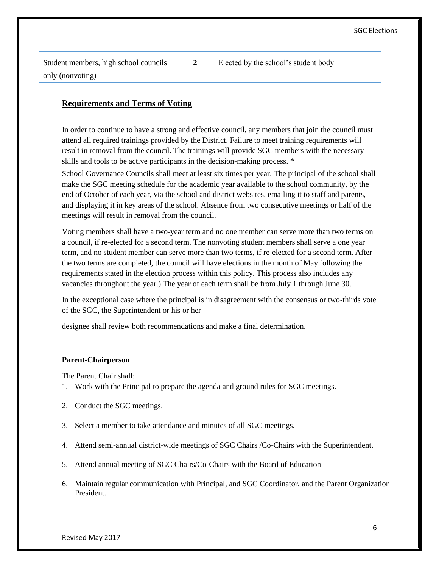Student members, high school councils only (nonvoting)

**2** Elected by the school's student body

# **Requirements and Terms of Voting**

In order to continue to have a strong and effective council, any members that join the council must attend all required trainings provided by the District. Failure to meet training requirements will result in removal from the council. The trainings will provide SGC members with the necessary skills and tools to be active participants in the decision-making process. \*

School Governance Councils shall meet at least six times per year. The principal of the school shall make the SGC meeting schedule for the academic year available to the school community, by the end of October of each year, via the school and district websites, emailing it to staff and parents, and displaying it in key areas of the school. Absence from two consecutive meetings or half of the meetings will result in removal from the council.

Voting members shall have a two-year term and no one member can serve more than two terms on a council, if re-elected for a second term. The nonvoting student members shall serve a one year term, and no student member can serve more than two terms, if re-elected for a second term. After the two terms are completed, the council will have elections in the month of May following the requirements stated in the election process within this policy. This process also includes any vacancies throughout the year.) The year of each term shall be from July 1 through June 30.

In the exceptional case where the principal is in disagreement with the consensus or two-thirds vote of the SGC, the Superintendent or his or her

designee shall review both recommendations and make a final determination.

#### **Parent-Chairperson**

The Parent Chair shall:

- 1. Work with the Principal to prepare the agenda and ground rules for SGC meetings.
- 2. Conduct the SGC meetings.
- 3. Select a member to take attendance and minutes of all SGC meetings.
- 4. Attend semi-annual district-wide meetings of SGC Chairs /Co-Chairs with the Superintendent.
- 5. Attend annual meeting of SGC Chairs/Co-Chairs with the Board of Education
- 6. Maintain regular communication with Principal, and SGC Coordinator, and the Parent Organization President.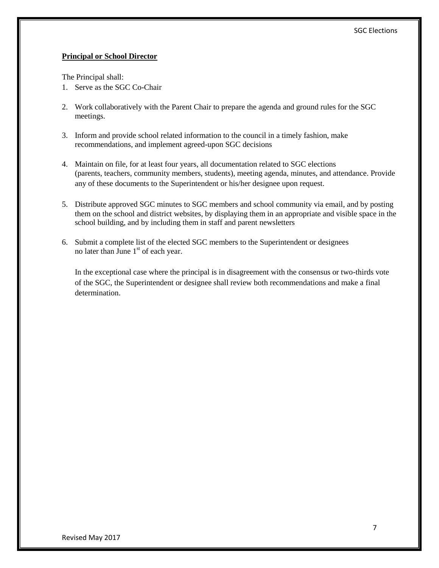#### **Principal or School Director**

The Principal shall:

- 1. Serve as the SGC Co-Chair
- 2. Work collaboratively with the Parent Chair to prepare the agenda and ground rules for the SGC meetings.
- 3. Inform and provide school related information to the council in a timely fashion, make recommendations, and implement agreed-upon SGC decisions
- 4. Maintain on file, for at least four years, all documentation related to SGC elections (parents, teachers, community members, students), meeting agenda, minutes, and attendance. Provide any of these documents to the Superintendent or his/her designee upon request.
- 5. Distribute approved SGC minutes to SGC members and school community via email, and by posting them on the school and district websites, by displaying them in an appropriate and visible space in the school building, and by including them in staff and parent newsletters
- 6. Submit a complete list of the elected SGC members to the Superintendent or designees no later than June  $1<sup>st</sup>$  of each year.

In the exceptional case where the principal is in disagreement with the consensus or two-thirds vote of the SGC, the Superintendent or designee shall review both recommendations and make a final determination.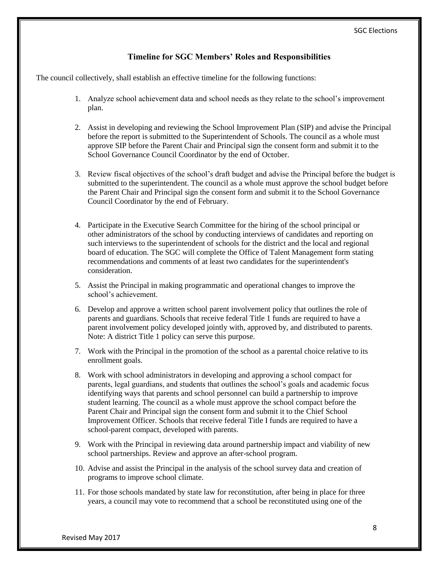## **Timeline for SGC Members' Roles and Responsibilities**

The council collectively, shall establish an effective timeline for the following functions:

- 1. Analyze school achievement data and school needs as they relate to the school's improvement plan.
- 2. Assist in developing and reviewing the School Improvement Plan (SIP) and advise the Principal before the report is submitted to the Superintendent of Schools. The council as a whole must approve SIP before the Parent Chair and Principal sign the consent form and submit it to the School Governance Council Coordinator by the end of October.
- 3. Review fiscal objectives of the school's draft budget and advise the Principal before the budget is submitted to the superintendent. The council as a whole must approve the school budget before the Parent Chair and Principal sign the consent form and submit it to the School Governance Council Coordinator by the end of February.
- 4. Participate in the Executive Search Committee for the hiring of the school principal or other administrators of the school by conducting interviews of candidates and reporting on such interviews to the superintendent of schools for the district and the local and regional board of education. The SGC will complete the Office of Talent Management form stating recommendations and comments of at least two candidates for the superintendent's consideration.
- 5. Assist the Principal in making programmatic and operational changes to improve the school's achievement.
- 6. Develop and approve a written school parent involvement policy that outlines the role of parents and guardians. Schools that receive federal Title 1 funds are required to have a parent involvement policy developed jointly with, approved by, and distributed to parents. Note: A district Title 1 policy can serve this purpose.
- 7. Work with the Principal in the promotion of the school as a parental choice relative to its enrollment goals.
- 8. Work with school administrators in developing and approving a school compact for parents, legal guardians, and students that outlines the school's goals and academic focus identifying ways that parents and school personnel can build a partnership to improve student learning. The council as a whole must approve the school compact before the Parent Chair and Principal sign the consent form and submit it to the Chief School Improvement Officer. Schools that receive federal Title I funds are required to have a school-parent compact, developed with parents.
- 9. Work with the Principal in reviewing data around partnership impact and viability of new school partnerships. Review and approve an after-school program.
- 10. Advise and assist the Principal in the analysis of the school survey data and creation of programs to improve school climate.
- 11. For those schools mandated by state law for reconstitution, after being in place for three years, a council may vote to recommend that a school be reconstituted using one of the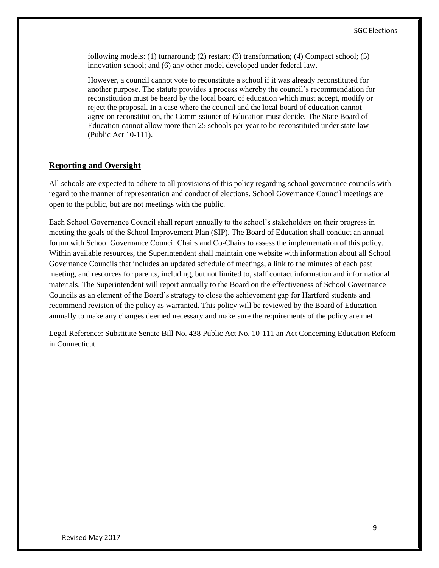following models: (1) turnaround; (2) restart; (3) transformation; (4) Compact school; (5) innovation school; and (6) any other model developed under federal law.

However, a council cannot vote to reconstitute a school if it was already reconstituted for another purpose. The statute provides a process whereby the council's recommendation for reconstitution must be heard by the local board of education which must accept, modify or reject the proposal. In a case where the council and the local board of education cannot agree on reconstitution, the Commissioner of Education must decide. The State Board of Education cannot allow more than 25 schools per year to be reconstituted under state law (Public Act 10-111).

#### **Reporting and Oversight**

All schools are expected to adhere to all provisions of this policy regarding school governance councils with regard to the manner of representation and conduct of elections. School Governance Council meetings are open to the public, but are not meetings with the public.

Each School Governance Council shall report annually to the school's stakeholders on their progress in meeting the goals of the School Improvement Plan (SIP). The Board of Education shall conduct an annual forum with School Governance Council Chairs and Co-Chairs to assess the implementation of this policy. Within available resources, the Superintendent shall maintain one website with information about all School Governance Councils that includes an updated schedule of meetings, a link to the minutes of each past meeting, and resources for parents, including, but not limited to, staff contact information and informational materials. The Superintendent will report annually to the Board on the effectiveness of School Governance Councils as an element of the Board's strategy to close the achievement gap for Hartford students and recommend revision of the policy as warranted. This policy will be reviewed by the Board of Education annually to make any changes deemed necessary and make sure the requirements of the policy are met.

Legal Reference: Substitute Senate Bill No. 438 Public Act No. 10-111 an Act Concerning Education Reform in Connecticut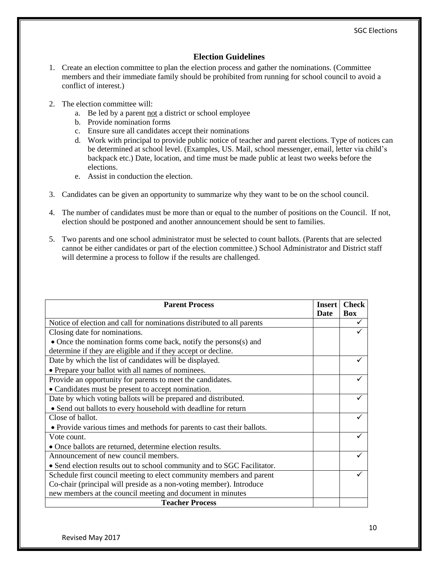# **Election Guidelines**

- 1. Create an election committee to plan the election process and gather the nominations. (Committee members and their immediate family should be prohibited from running for school council to avoid a conflict of interest.)
- 2. The election committee will:
	- a. Be led by a parent not a district or school employee
	- b. Provide nomination forms
	- c. Ensure sure all candidates accept their nominations
	- d. Work with principal to provide public notice of teacher and parent elections. Type of notices can be determined at school level. (Examples, US. Mail, school messenger, email, letter via child's backpack etc.) Date, location, and time must be made public at least two weeks before the elections.
	- e. Assist in conduction the election.
- 3. Candidates can be given an opportunity to summarize why they want to be on the school council.
- 4. The number of candidates must be more than or equal to the number of positions on the Council. If not, election should be postponed and another announcement should be sent to families.
- 5. Two parents and one school administrator must be selected to count ballots. (Parents that are selected cannot be either candidates or part of the election committee.) School Administrator and District staff will determine a process to follow if the results are challenged.

| <b>Parent Process</b>                                                   |      | <b>Check</b> |
|-------------------------------------------------------------------------|------|--------------|
|                                                                         | Date | <b>Box</b>   |
| Notice of election and call for nominations distributed to all parents  |      |              |
| Closing date for nominations.                                           |      |              |
| • Once the nomination forms come back, notify the persons(s) and        |      |              |
| determine if they are eligible and if they accept or decline.           |      |              |
| Date by which the list of candidates will be displayed.                 |      |              |
| • Prepare your ballot with all names of nominees.                       |      |              |
| Provide an opportunity for parents to meet the candidates.              |      | ✓            |
| • Candidates must be present to accept nomination.                      |      |              |
| Date by which voting ballots will be prepared and distributed.          |      | ✓            |
| • Send out ballots to every household with deadline for return          |      |              |
| Close of ballot.                                                        |      | ✓            |
| • Provide various times and methods for parents to cast their ballots.  |      |              |
| Vote count.                                                             |      | ✓            |
| • Once ballots are returned, determine election results.                |      |              |
| Announcement of new council members.                                    |      |              |
| • Send election results out to school community and to SGC Facilitator. |      |              |
| Schedule first council meeting to elect community members and parent    |      |              |
| Co-chair (principal will preside as a non-voting member). Introduce     |      |              |
| new members at the council meeting and document in minutes              |      |              |
| <b>Teacher Process</b>                                                  |      |              |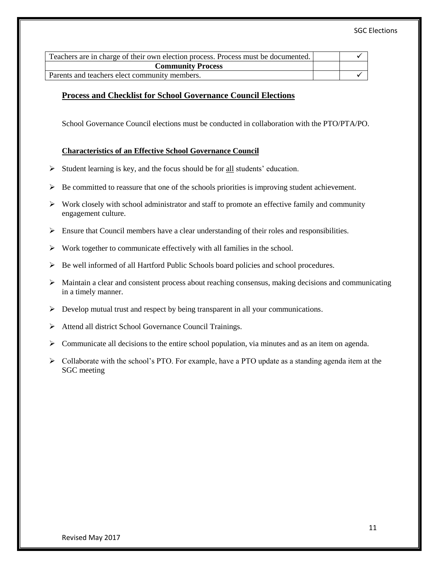| Teachers are in charge of their own election process. Process must be documented. |  |  |
|-----------------------------------------------------------------------------------|--|--|
| <b>Community Process</b>                                                          |  |  |
| Parents and teachers elect community members.                                     |  |  |

#### **Process and Checklist for School Governance Council Elections**

School Governance Council elections must be conducted in collaboration with the PTO/PTA/PO.

#### **Characteristics of an Effective School Governance Council**

- $\triangleright$  Student learning is key, and the focus should be for all students' education.
- $\triangleright$  Be committed to reassure that one of the schools priorities is improving student achievement.
- $\triangleright$  Work closely with school administrator and staff to promote an effective family and community engagement culture.
- $\triangleright$  Ensure that Council members have a clear understanding of their roles and responsibilities.
- $\triangleright$  Work together to communicate effectively with all families in the school.
- $\triangleright$  Be well informed of all Hartford Public Schools board policies and school procedures.
- $\triangleright$  Maintain a clear and consistent process about reaching consensus, making decisions and communicating in a timely manner.
- Develop mutual trust and respect by being transparent in all your communications.
- > Attend all district School Governance Council Trainings.
- $\triangleright$  Communicate all decisions to the entire school population, via minutes and as an item on agenda.
- $\triangleright$  Collaborate with the school's PTO. For example, have a PTO update as a standing agenda item at the SGC meeting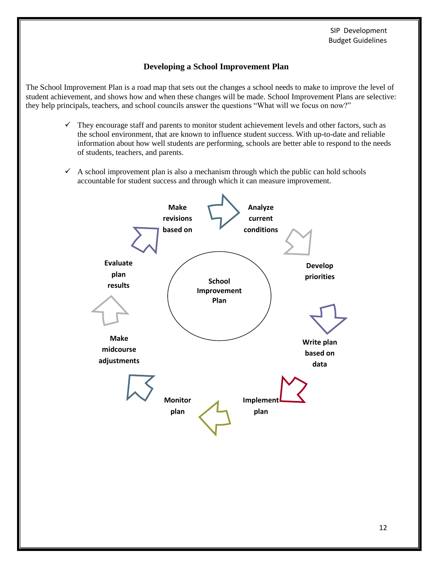# **Developing a School Improvement Plan**

The School Improvement Plan is a road map that sets out the changes a school needs to make to improve the level of student achievement, and shows how and when these changes will be made. School Improvement Plans are selective: they help principals, teachers, and school councils answer the questions "What will we focus on now?"

- $\checkmark$  They encourage staff and parents to monitor student achievement levels and other factors, such as the school environment, that are known to influence student success. With up-to-date and reliable information about how well students are performing, schools are better able to respond to the needs of students, teachers, and parents.
- $\checkmark$  A school improvement plan is also a mechanism through which the public can hold schools accountable for student success and through which it can measure improvement.

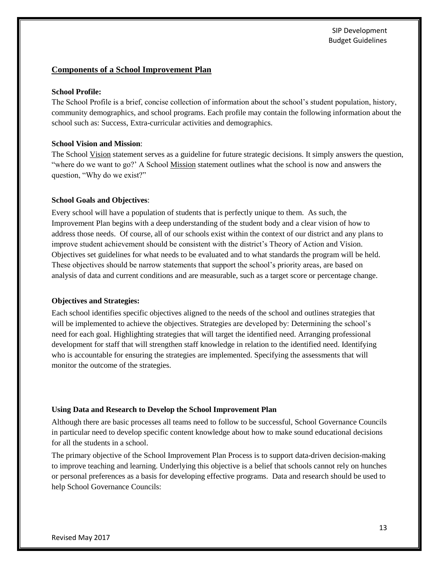#### **Components of a School Improvement Plan**

#### **School Profile:**

The School Profile is a brief, concise collection of information about the school's student population, history, community demographics, and school programs. Each profile may contain the following information about the school such as: Success, Extra-curricular activities and demographics.

#### **School Vision and Mission**:

The School Vision statement serves as a guideline for future strategic decisions. It simply answers the question, "where do we want to go?' A School Mission statement outlines what the school is now and answers the question, "Why do we exist?"

#### **School Goals and Objectives**:

Every school will have a population of students that is perfectly unique to them. As such, the Improvement Plan begins with a deep understanding of the student body and a clear vision of how to address those needs. Of course, all of our schools exist within the context of our district and any plans to improve student achievement should be consistent with the district's Theory of Action and Vision. Objectives set guidelines for what needs to be evaluated and to what standards the program will be held. These objectives should be narrow statements that support the school's priority areas, are based on analysis of data and current conditions and are measurable, such as a target score or percentage change.

#### **Objectives and Strategies:**

Each school identifies specific objectives aligned to the needs of the school and outlines strategies that will be implemented to achieve the objectives. Strategies are developed by: Determining the school's need for each goal. Highlighting strategies that will target the identified need. Arranging professional development for staff that will strengthen staff knowledge in relation to the identified need. Identifying who is accountable for ensuring the strategies are implemented. Specifying the assessments that will monitor the outcome of the strategies.

#### **Using Data and Research to Develop the School Improvement Plan**

Although there are basic processes all teams need to follow to be successful, School Governance Councils in particular need to develop specific content knowledge about how to make sound educational decisions for all the students in a school.

The primary objective of the School Improvement Plan Process is to support data-driven decision-making to improve teaching and learning. Underlying this objective is a belief that schools cannot rely on hunches or personal preferences as a basis for developing effective programs. Data and research should be used to help School Governance Councils: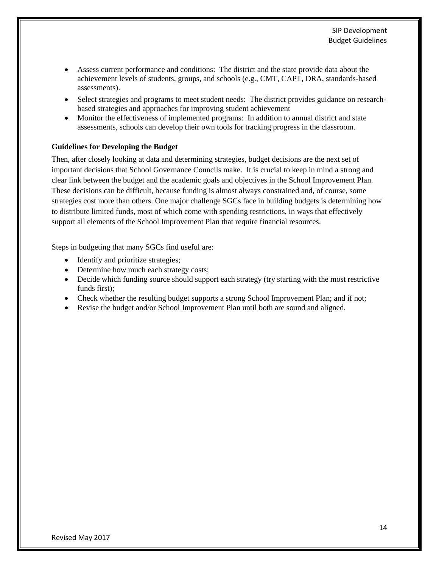- Assess current performance and conditions: The district and the state provide data about the achievement levels of students, groups, and schools (e.g., CMT, CAPT, DRA, standards-based assessments).
- Select strategies and programs to meet student needs: The district provides guidance on researchbased strategies and approaches for improving student achievement
- Monitor the effectiveness of implemented programs: In addition to annual district and state assessments, schools can develop their own tools for tracking progress in the classroom.

#### **Guidelines for Developing the Budget**

Then, after closely looking at data and determining strategies, budget decisions are the next set of important decisions that School Governance Councils make. It is crucial to keep in mind a strong and clear link between the budget and the academic goals and objectives in the School Improvement Plan. These decisions can be difficult, because funding is almost always constrained and, of course, some strategies cost more than others. One major challenge SGCs face in building budgets is determining how to distribute limited funds, most of which come with spending restrictions, in ways that effectively support all elements of the School Improvement Plan that require financial resources.

Steps in budgeting that many SGCs find useful are:

- Identify and prioritize strategies;
- Determine how much each strategy costs;
- Decide which funding source should support each strategy (try starting with the most restrictive funds first);
- Check whether the resulting budget supports a strong School Improvement Plan; and if not;
- Revise the budget and/or School Improvement Plan until both are sound and aligned.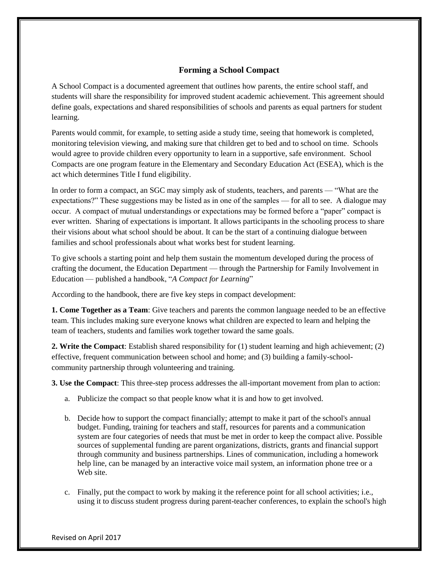## **Forming a School Compact**

A School Compact is a documented agreement that outlines how parents, the entire school staff, and students will share the responsibility for improved student academic achievement. This agreement should define goals, expectations and shared responsibilities of schools and parents as equal partners for student learning.

Parents would commit, for example, to setting aside a study time, seeing that homework is completed, monitoring television viewing, and making sure that children get to bed and to school on time. Schools would agree to provide children every opportunity to learn in a supportive, safe environment. School Compacts are one program feature in the Elementary and Secondary Education Act (ESEA), which is the act which determines Title I fund eligibility.

In order to form a compact, an SGC may simply ask of students, teachers, and parents — "What are the expectations?" These suggestions may be listed as in one of the samples — for all to see. A dialogue may occur. A compact of mutual understandings or expectations may be formed before a "paper" compact is ever written. Sharing of expectations is important. It allows participants in the schooling process to share their visions about what school should be about. It can be the start of a continuing dialogue between families and school professionals about what works best for student learning.

To give schools a starting point and help them sustain the momentum developed during the process of crafting the document, the Education Department — through the Partnership for Family Involvement in Education — published a handbook, "*A Compact for Learning*"

According to the handbook, there are five key steps in compact development:

**1. Come Together as a Team**: Give teachers and parents the common language needed to be an effective team. This includes making sure everyone knows what children are expected to learn and helping the team of teachers, students and families work together toward the same goals.

**2. Write the Compact**: Establish shared responsibility for (1) student learning and high achievement; (2) effective, frequent communication between school and home; and (3) building a family-schoolcommunity partnership through volunteering and training.

**3. Use the Compact**: This three-step process addresses the all-important movement from plan to action:

- a. Publicize the compact so that people know what it is and how to get involved.
- b. Decide how to support the compact financially; attempt to make it part of the school's annual budget. Funding, training for teachers and staff, resources for parents and a communication system are four categories of needs that must be met in order to keep the compact alive. Possible sources of supplemental funding are parent organizations, districts, grants and financial support through community and business partnerships. Lines of communication, including a homework help line, can be managed by an interactive voice mail system, an information phone tree or a Web site.
- c. Finally, put the compact to work by making it the reference point for all school activities; i.e., using it to discuss student progress during parent-teacher conferences, to explain the school's high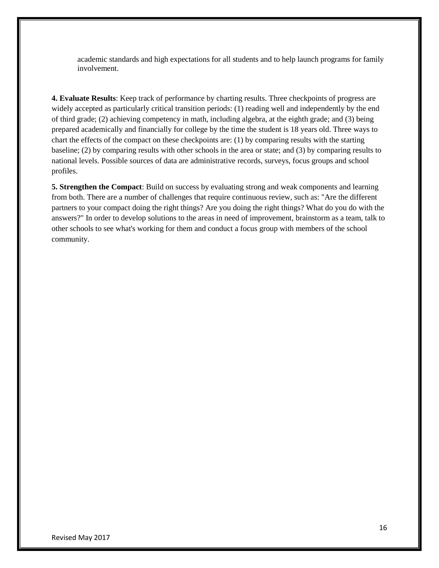academic standards and high expectations for all students and to help launch programs for family involvement.

**4. Evaluate Results**: Keep track of performance by charting results. Three checkpoints of progress are widely accepted as particularly critical transition periods: (1) reading well and independently by the end of third grade; (2) achieving competency in math, including algebra, at the eighth grade; and (3) being prepared academically and financially for college by the time the student is 18 years old. Three ways to chart the effects of the compact on these checkpoints are: (1) by comparing results with the starting baseline; (2) by comparing results with other schools in the area or state; and (3) by comparing results to national levels. Possible sources of data are administrative records, surveys, focus groups and school profiles.

**5. Strengthen the Compact**: Build on success by evaluating strong and weak components and learning from both. There are a number of challenges that require continuous review, such as: "Are the different partners to your compact doing the right things? Are you doing the right things? What do you do with the answers?" In order to develop solutions to the areas in need of improvement, brainstorm as a team, talk to other schools to see what's working for them and conduct a focus group with members of the school community.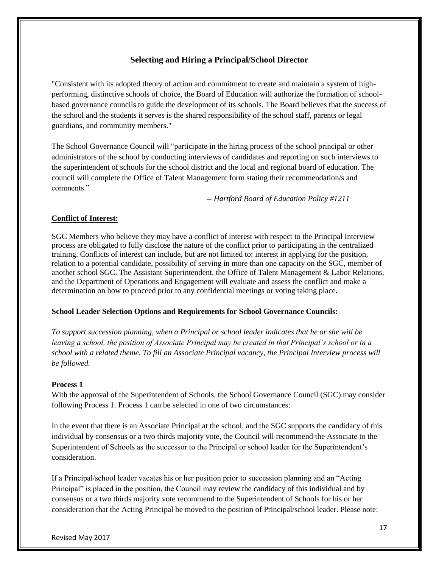# **Selecting and Hiring a Principal/School Director**

"Consistent with its adopted theory of action and commitment to create and maintain a system of highperforming, distinctive schools of choice, the Board of Education will authorize the formation of schoolbased governance councils to guide the development of its schools. The Board believes that the success of the school and the students it serves is the shared responsibility of the school staff, parents or legal guardians, and community members."

The School Governance Council will "participate in the hiring process of the school principal or other administrators of the school by conducting interviews of candidates and reporting on such interviews to the superintendent of schools for the school district and the local and regional board of education. The council will complete the Office of Talent Management form stating their recommendation/s and comments."

*-- Hartford Board of Education Policy #1211*

#### **Conflict of Interest:**

SGC Members who believe they may have a conflict of interest with respect to the Principal Interview process are obligated to fully disclose the nature of the conflict prior to participating in the centralized training. Conflicts of interest can include, but are not limited to: interest in applying for the position, relation to a potential candidate, possibility of serving in more than one capacity on the SGC, member of another school SGC. The Assistant Superintendent, the Office of Talent Management & Labor Relations, and the Department of Operations and Engagement will evaluate and assess the conflict and make a determination on how to proceed prior to any confidential meetings or voting taking place.

#### **School Leader Selection Options and Requirements for School Governance Councils:**

*To support succession planning, when a Principal or school leader indicates that he or she will be leaving a school, the position of Associate Principal may be created in that Principal's school or in a school with a related theme. To fill an Associate Principal vacancy, the Principal Interview process will be followed.* 

#### **Process 1**

With the approval of the Superintendent of Schools, the School Governance Council (SGC) may consider following Process 1. Process 1 can be selected in one of two circumstances:

In the event that there is an Associate Principal at the school, and the SGC supports the candidacy of this individual by consensus or a two thirds majority vote, the Council will recommend the Associate to the Superintendent of Schools as the successor to the Principal or school leader for the Superintendent's consideration.

If a Principal/school leader vacates his or her position prior to succession planning and an "Acting Principal" is placed in the position, the Council may review the candidacy of this individual and by consensus or a two thirds majority vote recommend to the Superintendent of Schools for his or her consideration that the Acting Principal be moved to the position of Principal/school leader. Please note: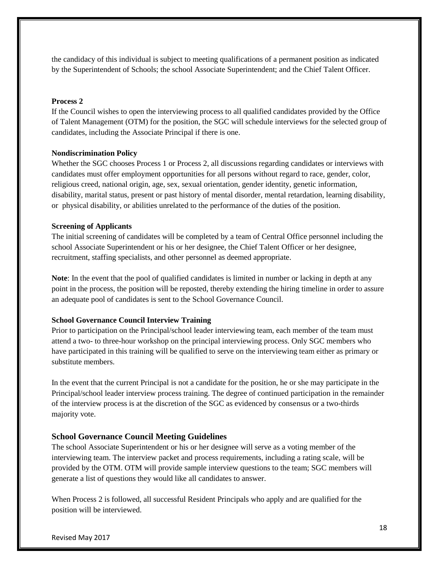the candidacy of this individual is subject to meeting qualifications of a permanent position as indicated by the Superintendent of Schools; the school Associate Superintendent; and the Chief Talent Officer.

#### **Process 2**

If the Council wishes to open the interviewing process to all qualified candidates provided by the Office of Talent Management (OTM) for the position, the SGC will schedule interviews for the selected group of candidates, including the Associate Principal if there is one.

#### **Nondiscrimination Policy**

Whether the SGC chooses Process 1 or Process 2, all discussions regarding candidates or interviews with candidates must offer employment opportunities for all persons without regard to race, gender, color, religious creed, national origin, age, sex, sexual orientation, gender identity, genetic information, disability, marital status, present or past history of mental disorder, mental retardation, learning disability, or physical disability, or abilities unrelated to the performance of the duties of the position.

#### **Screening of Applicants**

The initial screening of candidates will be completed by a team of Central Office personnel including the school Associate Superintendent or his or her designee, the Chief Talent Officer or her designee, recruitment, staffing specialists, and other personnel as deemed appropriate.

**Note**: In the event that the pool of qualified candidates is limited in number or lacking in depth at any point in the process, the position will be reposted, thereby extending the hiring timeline in order to assure an adequate pool of candidates is sent to the School Governance Council.

#### **School Governance Council Interview Training**

Prior to participation on the Principal/school leader interviewing team, each member of the team must attend a two- to three-hour workshop on the principal interviewing process. Only SGC members who have participated in this training will be qualified to serve on the interviewing team either as primary or substitute members.

In the event that the current Principal is not a candidate for the position, he or she may participate in the Principal/school leader interview process training. The degree of continued participation in the remainder of the interview process is at the discretion of the SGC as evidenced by consensus or a two-thirds majority vote.

#### **School Governance Council Meeting Guidelines**

The school Associate Superintendent or his or her designee will serve as a voting member of the interviewing team. The interview packet and process requirements, including a rating scale, will be provided by the OTM. OTM will provide sample interview questions to the team; SGC members will generate a list of questions they would like all candidates to answer.

When Process 2 is followed, all successful Resident Principals who apply and are qualified for the position will be interviewed.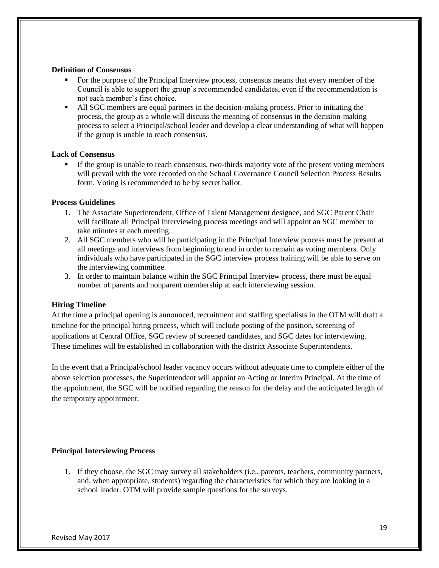#### **Definition of Consensus**

- For the purpose of the Principal Interview process, consensus means that every member of the Council is able to support the group's recommended candidates, even if the recommendation is not each member's first choice.
- All SGC members are equal partners in the decision-making process. Prior to initiating the process, the group as a whole will discuss the meaning of consensus in the decision-making process to select a Principal/school leader and develop a clear understanding of what will happen if the group is unable to reach consensus.

#### **Lack of Consensus**

If the group is unable to reach consensus, two-thirds majority vote of the present voting members will prevail with the vote recorded on the School Governance Council Selection Process Results form. Voting is recommended to be by secret ballot.

#### **Process Guidelines**

- 1. The Associate Superintendent, Office of Talent Management designee, and SGC Parent Chair will facilitate all Principal Interviewing process meetings and will appoint an SGC member to take minutes at each meeting.
- 2. All SGC members who will be participating in the Principal Interview process must be present at all meetings and interviews from beginning to end in order to remain as voting members. Only individuals who have participated in the SGC interview process training will be able to serve on the interviewing committee.
- 3. In order to maintain balance within the SGC Principal Interview process, there must be equal number of parents and nonparent membership at each interviewing session.

#### **Hiring Timeline**

At the time a principal opening is announced, recruitment and staffing specialists in the OTM will draft a timeline for the principal hiring process, which will include posting of the position, screening of applications at Central Office, SGC review of screened candidates, and SGC dates for interviewing. These timelines will be established in collaboration with the district Associate Superintendents.

In the event that a Principal/school leader vacancy occurs without adequate time to complete either of the above selection processes, the Superintendent will appoint an Acting or Interim Principal. At the time of the appointment, the SGC will be notified regarding the reason for the delay and the anticipated length of the temporary appointment.

#### **Principal Interviewing Process**

1. If they choose, the SGC may survey all stakeholders (i.e., parents, teachers, community partners, and, when appropriate, students) regarding the characteristics for which they are looking in a school leader. OTM will provide sample questions for the surveys.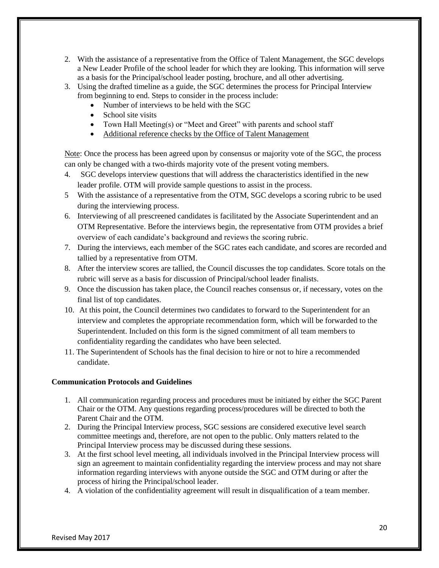- 2. With the assistance of a representative from the Office of Talent Management, the SGC develops a New Leader Profile of the school leader for which they are looking. This information will serve as a basis for the Principal/school leader posting, brochure, and all other advertising.
- 3. Using the drafted timeline as a guide, the SGC determines the process for Principal Interview from beginning to end. Steps to consider in the process include:
	- Number of interviews to be held with the SGC
	- School site visits
	- Town Hall Meeting(s) or "Meet and Greet" with parents and school staff
	- Additional reference checks by the Office of Talent Management

Note: Once the process has been agreed upon by consensus or majority vote of the SGC, the process can only be changed with a two-thirds majority vote of the present voting members.

- 4. SGC develops interview questions that will address the characteristics identified in the new leader profile. OTM will provide sample questions to assist in the process.
- 5 With the assistance of a representative from the OTM, SGC develops a scoring rubric to be used during the interviewing process.
- 6. Interviewing of all prescreened candidates is facilitated by the Associate Superintendent and an OTM Representative. Before the interviews begin, the representative from OTM provides a brief overview of each candidate's background and reviews the scoring rubric.
- 7. During the interviews, each member of the SGC rates each candidate, and scores are recorded and tallied by a representative from OTM.
- 8. After the interview scores are tallied, the Council discusses the top candidates. Score totals on the rubric will serve as a basis for discussion of Principal/school leader finalists.
- 9. Once the discussion has taken place, the Council reaches consensus or, if necessary, votes on the final list of top candidates.
- 10. At this point, the Council determines two candidates to forward to the Superintendent for an interview and completes the appropriate recommendation form, which will be forwarded to the Superintendent. Included on this form is the signed commitment of all team members to confidentiality regarding the candidates who have been selected.
- 11. The Superintendent of Schools has the final decision to hire or not to hire a recommended candidate.

#### **Communication Protocols and Guidelines**

- 1. All communication regarding process and procedures must be initiated by either the SGC Parent Chair or the OTM. Any questions regarding process/procedures will be directed to both the Parent Chair and the OTM.
- 2. During the Principal Interview process, SGC sessions are considered executive level search committee meetings and, therefore, are not open to the public. Only matters related to the Principal Interview process may be discussed during these sessions.
- 3. At the first school level meeting, all individuals involved in the Principal Interview process will sign an agreement to maintain confidentiality regarding the interview process and may not share information regarding interviews with anyone outside the SGC and OTM during or after the process of hiring the Principal/school leader.
- 4. A violation of the confidentiality agreement will result in disqualification of a team member.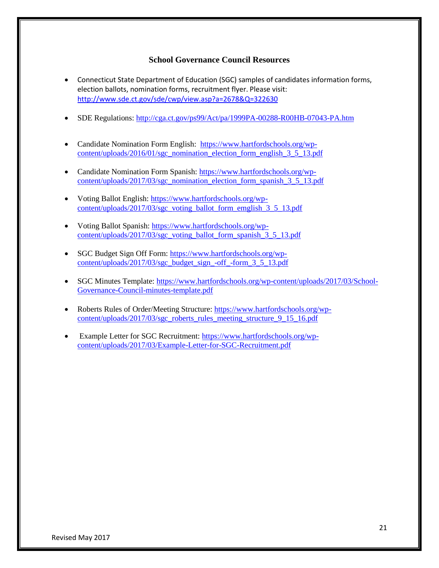#### **School Governance Council Resources**

- Connecticut State Department of Education (SGC) samples of candidates information forms, election ballots, nomination forms, recruitment flyer. Please visit: <http://www.sde.ct.gov/sde/cwp/view.asp?a=2678&Q=322630>
- SDE Regulations:<http://cga.ct.gov/ps99/Act/pa/1999PA-00288-R00HB-07043-PA.htm>
- Candidate Nomination Form English: [https://www.hartfordschools.org/wp](https://www.hartfordschools.org/wp-content/uploads/2016/01/sgc_nomination_election_form_english_3_5_13.pdf)[content/uploads/2016/01/sgc\\_nomination\\_election\\_form\\_english\\_3\\_5\\_13.pdf](https://www.hartfordschools.org/wp-content/uploads/2016/01/sgc_nomination_election_form_english_3_5_13.pdf)
- Candidate Nomination Form Spanish: [https://www.hartfordschools.org/wp](https://www.hartfordschools.org/wp-content/uploads/2017/03/sgc_nomination_election_form_spanish_3_5_13.pdf)[content/uploads/2017/03/sgc\\_nomination\\_election\\_form\\_spanish\\_3\\_5\\_13.pdf](https://www.hartfordschools.org/wp-content/uploads/2017/03/sgc_nomination_election_form_spanish_3_5_13.pdf)
- Voting Ballot English: [https://www.hartfordschools.org/wp](https://www.hartfordschools.org/wp-content/uploads/2017/03/sgc_voting_ballot_form_emglish_3_5_13.pdf)[content/uploads/2017/03/sgc\\_voting\\_ballot\\_form\\_emglish\\_3\\_5\\_13.pdf](https://www.hartfordschools.org/wp-content/uploads/2017/03/sgc_voting_ballot_form_emglish_3_5_13.pdf)
- Voting Ballot Spanish: [https://www.hartfordschools.org/wp](https://www.hartfordschools.org/wp-content/uploads/2017/03/sgc_voting_ballot_form_spanish_3_5_13.pdf)[content/uploads/2017/03/sgc\\_voting\\_ballot\\_form\\_spanish\\_3\\_5\\_13.pdf](https://www.hartfordschools.org/wp-content/uploads/2017/03/sgc_voting_ballot_form_spanish_3_5_13.pdf)
- SGC Budget Sign Off Form: [https://www.hartfordschools.org/wp](https://www.hartfordschools.org/wp-content/uploads/2017/03/sgc_budget_sign_-off_-form_3_5_13.pdf)[content/uploads/2017/03/sgc\\_budget\\_sign\\_-off\\_-form\\_3\\_5\\_13.pdf](https://www.hartfordschools.org/wp-content/uploads/2017/03/sgc_budget_sign_-off_-form_3_5_13.pdf)
- SGC Minutes Template: [https://www.hartfordschools.org/wp-content/uploads/2017/03/School-](https://www.hartfordschools.org/wp-content/uploads/2017/03/School-Governance-Council-minutes-template.pdf)[Governance-Council-minutes-template.pdf](https://www.hartfordschools.org/wp-content/uploads/2017/03/School-Governance-Council-minutes-template.pdf)
- Roberts Rules of Order/Meeting Structure: [https://www.hartfordschools.org/wp](https://www.hartfordschools.org/wp-content/uploads/2017/03/sgc_roberts_rules_meeting_structure_9_15_16.pdf)[content/uploads/2017/03/sgc\\_roberts\\_rules\\_meeting\\_structure\\_9\\_15\\_16.pdf](https://www.hartfordschools.org/wp-content/uploads/2017/03/sgc_roberts_rules_meeting_structure_9_15_16.pdf)
- Example Letter for SGC Recruitment: [https://www.hartfordschools.org/wp](https://www.hartfordschools.org/wp-content/uploads/2017/03/Example-Letter-for-SGC-Recruitment.pdf)[content/uploads/2017/03/Example-Letter-for-SGC-Recruitment.pdf](https://www.hartfordschools.org/wp-content/uploads/2017/03/Example-Letter-for-SGC-Recruitment.pdf)